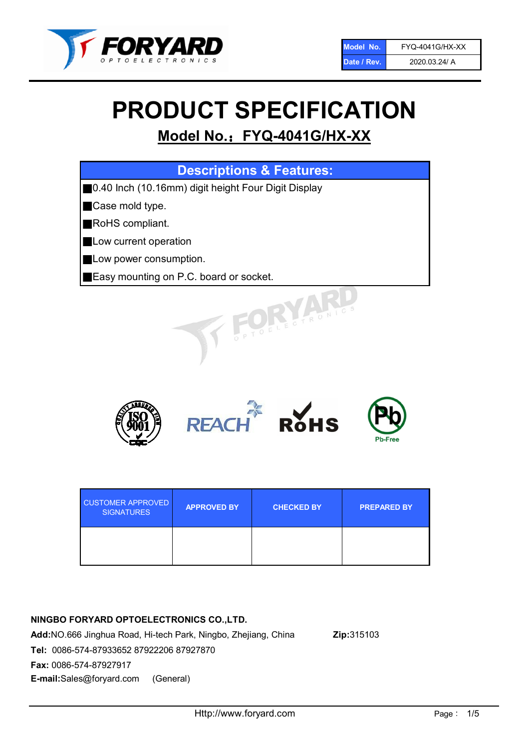

# PRODUCT SPECIFICATION

# Model No.: FYQ-4041G/HX-XX

| <b>Descriptions &amp; Features:</b>                 |
|-----------------------------------------------------|
| 0.40 Inch (10.16mm) digit height Four Digit Display |
| Case mold type.                                     |
| RoHS compliant.                                     |
| Low current operation                               |
| Low power consumption.                              |
| Easy mounting on P.C. board or socket.              |
| OFLECTRONIC                                         |



| <b>CUSTOMER APPROVED</b><br><b>SIGNATURES</b> | <b>APPROVED BY</b> | <b>CHECKED BY</b> | <b>PREPARED BY</b> |
|-----------------------------------------------|--------------------|-------------------|--------------------|
|                                               |                    |                   |                    |

# NINGBO FORYARD OPTOELECTRONICS CO.,LTD.

Add:NO.666 Jinghua Road, Hi-tech Park, Ningbo, Zhejiang, China Zip:315103 Tel: 0086-574-87933652 87922206 87927870 Fax: 0086-574-87927917 E-mail:Sales@foryard.com (General)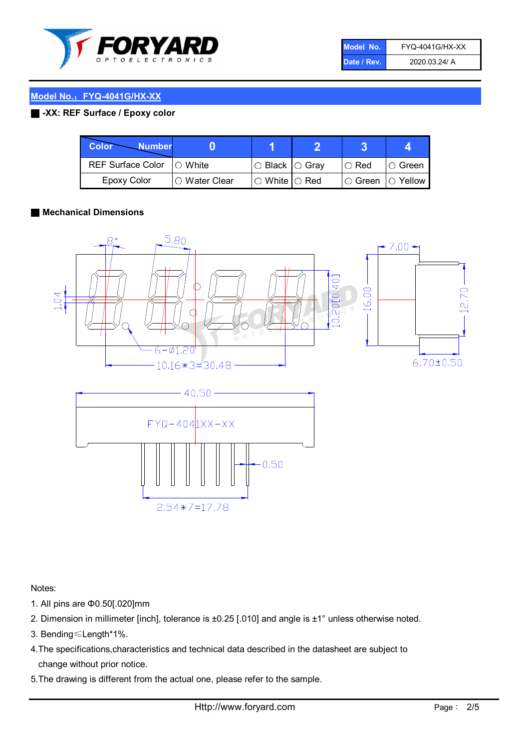

| Model No.   | <b>FYQ-4041G/HX-XX</b> |
|-------------|------------------------|
| Date / Rev. | 2020.03.24/ A          |

# Model No.: FYQ-4041G/HX-XX

### ■ -XX: REF Surface / Epoxy color

| Color<br><b>Number</b>      |                |                                                   |             |                |
|-----------------------------|----------------|---------------------------------------------------|-------------|----------------|
| REF Surface Color   O White |                | ○ Black  ○ Gray                                   | $\circ$ Red | $\circ$ Green  |
| Epoxy Color                 | I⊖ Water Clear | $\mathbin{\varcap}$ White $\mathbin{\varcap}$ Red | IO Green∶   | $\circ$ Yellow |

#### ■ Mechanical Dimensions



Notes:

- 1. All pins are Φ0.50[.020]mm
- 2. Dimension in millimeter [inch], tolerance is ±0.25 [.010] and angle is ±1° unless otherwise noted.
- 3. Bending≤Length\*1%.
- 4.The specifications,characteristics and technical data described in the datasheet are subject to change without prior notice.
- 5.The drawing is different from the actual one, please refer to the sample.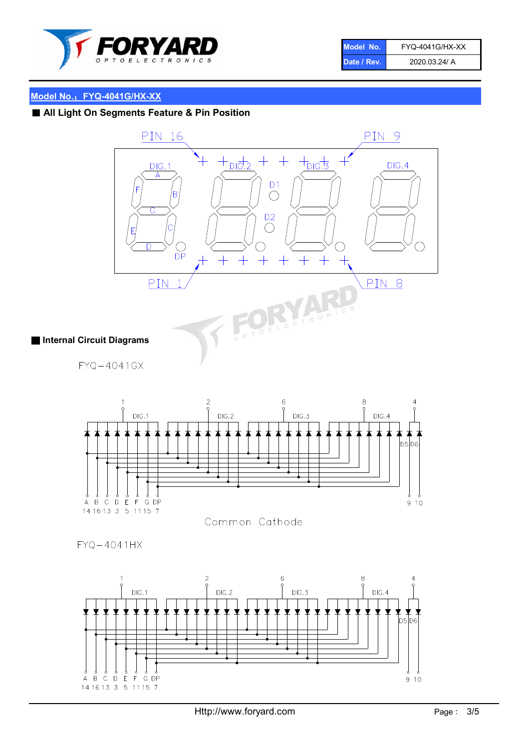

| Model No.   | FYQ-4041G/HX-XX |
|-------------|-----------------|
| Date / Rev. | 2020.03.24/ A   |

# Model No.: FYQ-4041G/HX-XX

■ All Light On Segments Feature & Pin Position





Common Cathode

 $FYQ - 4041HX$ 

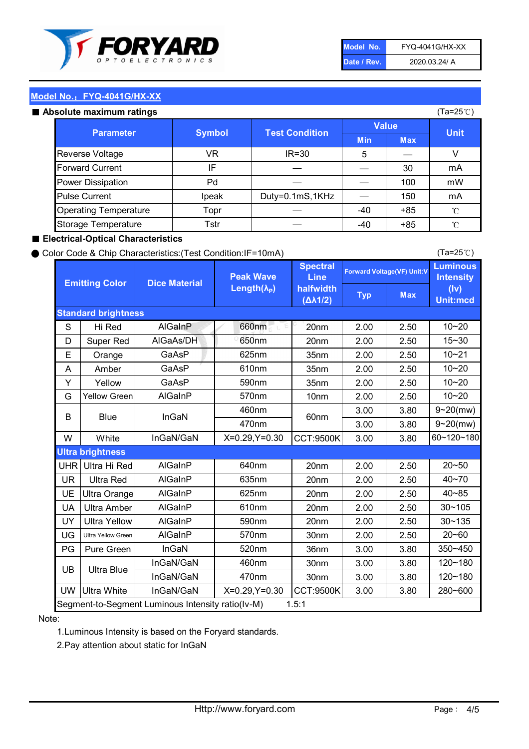

| Model No.   | <b>FYQ-4041G/HX-XX</b> |
|-------------|------------------------|
| Date / Rev. | 2020.03.24/ A          |

(Ta=25℃)

### Model No.: FYQ-4041G/HX-XX

#### Absolute maximum

| solute maximum ratings       |               |                       |              |            | (Ta=25℃)    |
|------------------------------|---------------|-----------------------|--------------|------------|-------------|
| <b>Parameter</b>             | <b>Symbol</b> | <b>Test Condition</b> | <b>Value</b> |            |             |
|                              |               |                       | <b>Min</b>   | <b>Max</b> | <b>Unit</b> |
| Reverse Voltage              | VR            | $IR = 30$             | 5            |            |             |
| <b>Forward Current</b>       | ΙF            |                       |              | 30         | mA          |
| Power Dissipation            | Pd            |                       |              | 100        | mW          |
| <b>Pulse Current</b>         | Ipeak         | Duty=0.1mS,1KHz       |              | 150        | mA          |
| <b>Operating Temperature</b> | Topr          |                       | $-40$        | $+85$      | °C          |
| Storage Temperature          | Tstr          |                       | $-40$        | $+85$      | °C          |

#### ■ Electrical-Optical Characteristics

#### ● Color Code & Chip Characteristics:(Test Condition:IF=10mA)

Typ Max S | Hi $\textsf{Red}$  | AlGaInP | 660nm LE 20nm | 2.00 | 2.50 D | Super Red | AIGaAs/DH | 650nm | 20nm | 2.00 | 2.50 E | Orange | GaAsP | 625nm | 35nm | 2.00 | 2.50 A | Amber | GaAsP | 610nm | 35nm | 2.00 | 2.50 Y | Yellow | GaAsP | 590nm | 35nm | 2.00 | 2.50 G Yellow Green AIGaInP | 570nm | 10nm | 2.00 | 2.50 3.00 3.80 3.00 3.80 W | White | InGaN/GaN | X=0.29,Y=0.30 |CCT:9500K| 3.00 | 3.80 UHR Ultra Hi Red | AlGaInP | 640nm | 20nm | 2.00 | 2.50 UR | Ultra Red | AlGaInP | 635nm | 20nm | 2.00 | 2.50 UE Ultra Orange | AIGaInP | 625nm | 20nm | 2.00 | 2.50 UA Ultra Amber | AIGaInP | 610nm | 20nm | 2.00 | 2.50  $UV$  Ultra Yellow  $\vert$  AlGaInP  $\vert$  590nm  $\vert$  20nm  $\vert$  2.00  $\vert$  2.50  $\text{UG}$  Ultra Yellow Green | AIGaInP | 570nm | 30nm | 2.00 | 2.50 PG Pure Green | InGaN | 520nm | 36nm | 3.00 | 3.80 30nm 3.00 3.80 30nm 3.00 3.80 UW |Ultra White | InGaN/GaN | X=0.29,Y=0.30 |CCT:9500K| 3.00 | 3.80 40~85 60~120~180 40~70 Segment-to-Segment Luminous Intensity ratio(Iv-M) 1.5:1 610nm 9~20(mw) 350~450 470nm 120~180 120~180 Ultra Blue InGaN/GaN InGaN/GaN 9~20(mw) 20~50 280~600 570nm | 30nm | 2.00 | 2.50 | 20~60 470nm 590nm InGaN/GaN B Blue I InGaN 570nm | 10nm | 2.00 | 2.50 | 10~20 30~105 30~135 460nm 520nm Ultra brightness **AlGaInP** AlGaInP 60nm AlGaInP 640nm Peak Wave Length $(\lambda_{\rm P})$ UB 460nm 635nm AlGaInP AlGaInP AlGaInP InGaN/GaN AlGaInP 10~20 Luminous **Intensity** (Iv) Unit:mcd AlGainP 660nm GaAsP GaAsP AlGaAs/DH **Spectral** Line halfwidth (∆λ1/2) 10~20 Standard brightness Forward Voltage(VF) Unit:V 15~30 10~20 625nm GaAsP 590nm **Emitting Color Dice Material** 10~21 610nm

#### Note:

1.Luminous Intensity is based on the Foryard standards.

2.Pay attention about static for InGaN